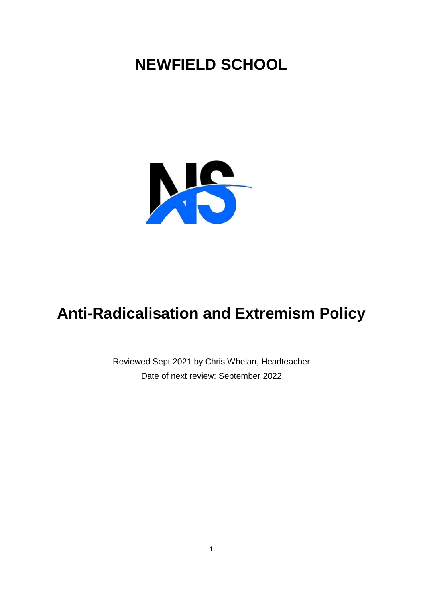# **NEWFIELD SCHOOL**



# **Anti-Radicalisation and Extremism Policy**

Reviewed Sept 2021 by Chris Whelan, Headteacher Date of next review: September 2022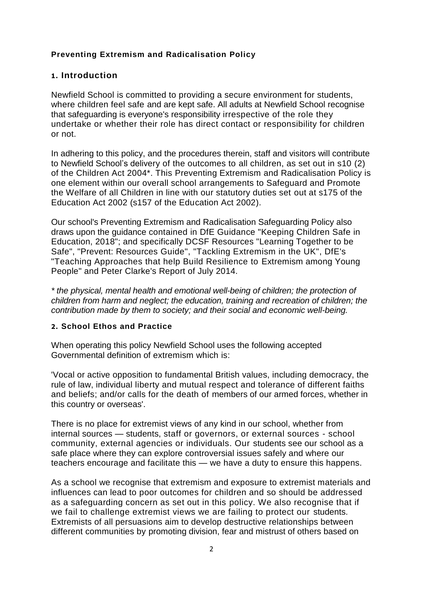## **Preventing Extremism and Radicalisation Policy**

### **1 . Introduction**

Newfield School is committed to providing a secure environment for students, where children feel safe and are kept safe. All adults at Newfield School recognise that safeguarding is everyone's responsibility irrespective of the role they undertake or whether their role has direct contact or responsibility for children or not.

In adhering to this policy, and the procedures therein, staff and visitors will contribute to Newfield School's delivery of the outcomes to all children, as set out in s10 (2) of the Children Act 2004\*. This Preventing Extremism and Radicalisation Policy is one element within our overall school arrangements to Safeguard and Promote the Welfare of all Children in line with our statutory duties set out at s175 of the Education Act 2002 (s157 of the Education Act 2002).

Our school's Preventing Extremism and Radicalisation Safeguarding Policy also draws upon the guidance contained in DfE Guidance "Keeping Children Safe in Education, 2018"; and specifically DCSF Resources "Learning Together to be Safe", "Prevent: Resources Guide", "Tackling Extremism in the UK", DfE's "Teaching Approaches that help Build Resilience to Extremism among Young People" and Peter Clarke's Report of July 2014.

*\* the physical, mental health and emotional well-being of children; the protection of children from harm and neglect; the education, training and recreation of children; the contribution made by them to society; and their social and economic well-being.*

#### **2 . School Ethos and Practice**

When operating this policy Newfield School uses the following accepted Governmental definition of extremism which is:

'Vocal or active opposition to fundamental British values, including democracy, the rule of law, individual liberty and mutual respect and tolerance of different faiths and beliefs; and/or calls for the death of members of our armed forces, whether in this country or overseas'.

There is no place for extremist views of any kind in our school, whether from internal sources — students, staff or governors, or external sources - school community, external agencies or individuals. Our students see our school as a safe place where they can explore controversial issues safely and where our teachers encourage and facilitate this — we have a duty to ensure this happens.

As a school we recognise that extremism and exposure to extremist materials and influences can lead to poor outcomes for children and so should be addressed as a safeguarding concern as set out in this policy. We also recognise that if we fail to challenge extremist views we are failing to protect our students. Extremists of all persuasions aim to develop destructive relationships between different communities by promoting division, fear and mistrust of others based on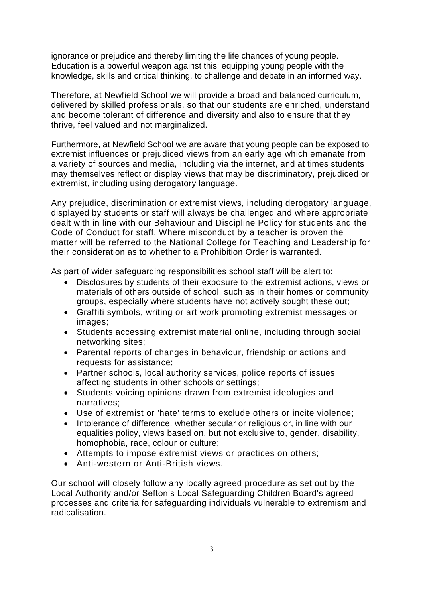ignorance or prejudice and thereby limiting the life chances of young people. Education is a powerful weapon against this; equipping young people with the knowledge, skills and critical thinking, to challenge and debate in an informed way.

Therefore, at Newfield School we will provide a broad and balanced curriculum, delivered by skilled professionals, so that our students are enriched, understand and become tolerant of difference and diversity and also to ensure that they thrive, feel valued and not marginalized.

Furthermore, at Newfield School we are aware that young people can be exposed to extremist influences or prejudiced views from an early age which emanate from a variety of sources and media, including via the internet, and at times students may themselves reflect or display views that may be discriminatory, prejudiced or extremist, including using derogatory language.

Any prejudice, discrimination or extremist views, including derogatory language, displayed by students or staff will always be challenged and where appropriate dealt with in line with our Behaviour and Discipline Policy for students and the Code of Conduct for staff. Where misconduct by a teacher is proven the matter will be referred to the National College for Teaching and Leadership for their consideration as to whether to a Prohibition Order is warranted.

As part of wider safeguarding responsibilities school staff will be alert to:

- Disclosures by students of their exposure to the extremist actions, views or materials of others outside of school, such as in their homes or community groups, especially where students have not actively sought these out;
- Graffiti symbols, writing or art work promoting extremist messages or images;
- Students accessing extremist material online, including through social networking sites;
- Parental reports of changes in behaviour, friendship or actions and requests for assistance;
- Partner schools, local authority services, police reports of issues affecting students in other schools or settings;
- Students voicing opinions drawn from extremist ideologies and narratives;
- Use of extremist or 'hate' terms to exclude others or incite violence;
- Intolerance of difference, whether secular or religious or, in line with our equalities policy, views based on, but not exclusive to, gender, disability, homophobia, race, colour or culture;
- Attempts to impose extremist views or practices on others;
- Anti-western or Anti-British views.

Our school will closely follow any locally agreed procedure as set out by the Local Authority and/or Sefton's Local Safeguarding Children Board's agreed processes and criteria for safeguarding individuals vulnerable to extremism and radicalisation.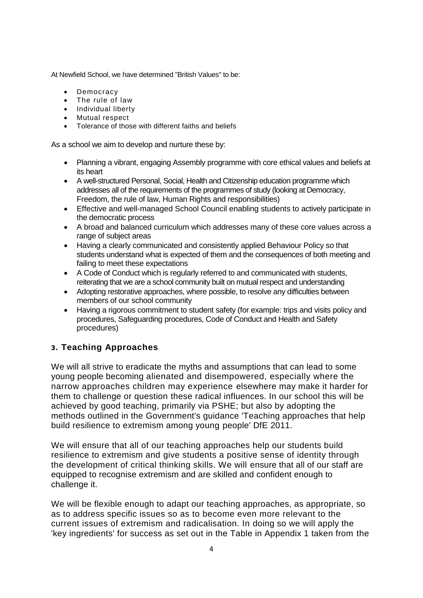At Newfield School, we have determined "British Values" to be:

- Democracy
- The rule of law
- Individual liberty
- Mutual respect
- Tolerance of those with different faiths and beliefs

As a school we aim to develop and nurture these by:

- Planning a vibrant, engaging Assembly programme with core ethical values and beliefs at its heart
- A well-structured Personal, Social, Health and Citizenship education programme which addresses all of the requirements of the programmes of study (looking at Democracy, Freedom, the rule of law, Human Rights and responsibilities)
- Effective and well-managed School Council enabling students to actively participate in the democratic process
- A broad and balanced curriculum which addresses many of these core values across a range of subject areas
- Having a clearly communicated and consistently applied Behaviour Policy so that students understand what is expected of them and the consequences of both meeting and failing to meet these expectations
- A Code of Conduct which is regularly referred to and communicated with students, reiterating that we are a school community built on mutual respect and understanding
- Adopting restorative approaches, where possible, to resolve any difficulties between members of our school community
- Having a rigorous commitment to student safety (for example: trips and visits policy and procedures, Safeguarding procedures, Code of Conduct and Health and Safety procedures)

#### **3 . Teaching Approaches**

We will all strive to eradicate the myths and assumptions that can lead to some young people becoming alienated and disempowered, especially where the narrow approaches children may experience elsewhere may make it harder for them to challenge or question these radical influences. In our school this will be achieved by good teaching, primarily via PSHE; but also by adopting the methods outlined in the Government's guidance 'Teaching approaches that help build resilience to extremism among young people' DfE 2011.

We will ensure that all of our teaching approaches help our students build resilience to extremism and give students a positive sense of identity through the development of critical thinking skills. We will ensure that all of our staff are equipped to recognise extremism and are skilled and confident enough to challenge it.

We will be flexible enough to adapt our teaching approaches, as appropriate, so as to address specific issues so as to become even more relevant to the current issues of extremism and radicalisation. In doing so we will apply the 'key ingredients' for success as set out in the Table in Appendix 1 taken from the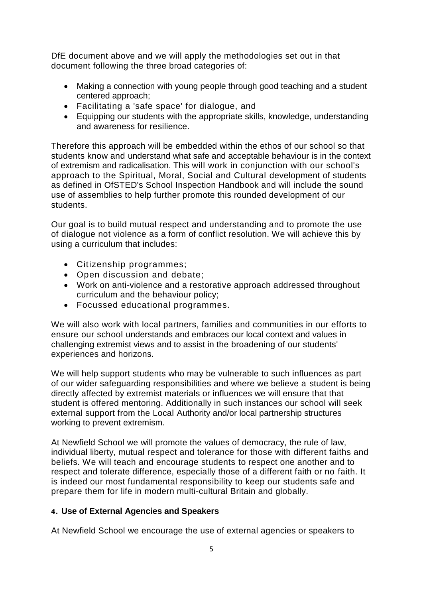DfE document above and we will apply the methodologies set out in that document following the three broad categories of:

- Making a connection with young people through good teaching and a student centered approach;
- Facilitating a 'safe space' for dialogue, and
- Equipping our students with the appropriate skills, knowledge, understanding and awareness for resilience.

Therefore this approach will be embedded within the ethos of our school so that students know and understand what safe and acceptable behaviour is in the context of extremism and radicalisation. This will work in conjunction with our school's approach to the Spiritual, Moral, Social and Cultural development of students as defined in OfSTED's School Inspection Handbook and will include the sound use of assemblies to help further promote this rounded development of our students.

Our goal is to build mutual respect and understanding and to promote the use of dialogue not violence as a form of conflict resolution. We will achieve this by using a curriculum that includes:

- Citizenship programmes;
- Open discussion and debate;
- Work on anti-violence and a restorative approach addressed throughout curriculum and the behaviour policy;
- Focussed educational programmes.

We will also work with local partners, families and communities in our efforts to ensure our school understands and embraces our local context and values in challenging extremist views and to assist in the broadening of our students' experiences and horizons.

We will help support students who may be vulnerable to such influences as part of our wider safeguarding responsibilities and where we believe a student is being directly affected by extremist materials or influences we will ensure that that student is offered mentoring. Additionally in such instances our school will seek external support from the Local Authority and/or local partnership structures working to prevent extremism.

At Newfield School we will promote the values of democracy, the rule of law, individual liberty, mutual respect and tolerance for those with different faiths and beliefs. We will teach and encourage students to respect one another and to respect and tolerate difference, especially those of a different faith or no faith. It is indeed our most fundamental responsibility to keep our students safe and prepare them for life in modern multi-cultural Britain and globally.

#### **4 . Use of External Agencies and Speakers**

At Newfield School we encourage the use of external agencies or speakers to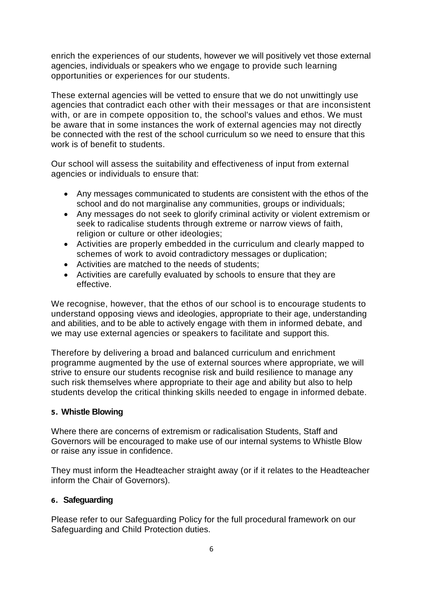enrich the experiences of our students, however we will positively vet those external agencies, individuals or speakers who we engage to provide such learning opportunities or experiences for our students.

These external agencies will be vetted to ensure that we do not unwittingly use agencies that contradict each other with their messages or that are inconsistent with, or are in compete opposition to, the school's values and ethos. We must be aware that in some instances the work of external agencies may not directly be connected with the rest of the school curriculum so we need to ensure that this work is of benefit to students.

Our school will assess the suitability and effectiveness of input from external agencies or individuals to ensure that:

- Any messages communicated to students are consistent with the ethos of the school and do not marginalise any communities, groups or individuals;
- Any messages do not seek to glorify criminal activity or violent extremism or seek to radicalise students through extreme or narrow views of faith, religion or culture or other ideologies;
- Activities are properly embedded in the curriculum and clearly mapped to schemes of work to avoid contradictory messages or duplication;
- Activities are matched to the needs of students;
- Activities are carefully evaluated by schools to ensure that they are effective.

We recognise, however, that the ethos of our school is to encourage students to understand opposing views and ideologies, appropriate to their age, understanding and abilities, and to be able to actively engage with them in informed debate, and we may use external agencies or speakers to facilitate and support this.

Therefore by delivering a broad and balanced curriculum and enrichment programme augmented by the use of external sources where appropriate, we will strive to ensure our students recognise risk and build resilience to manage any such risk themselves where appropriate to their age and ability but also to help students develop the critical thinking skills needed to engage in informed debate.

#### **5 . Whistle Blowing**

Where there are concerns of extremism or radicalisation Students, Staff and Governors will be encouraged to make use of our internal systems to Whistle Blow or raise any issue in confidence.

They must inform the Headteacher straight away (or if it relates to the Headteacher inform the Chair of Governors).

## **6 . Safeguarding**

Please refer to our Safeguarding Policy for the full procedural framework on our Safeguarding and Child Protection duties.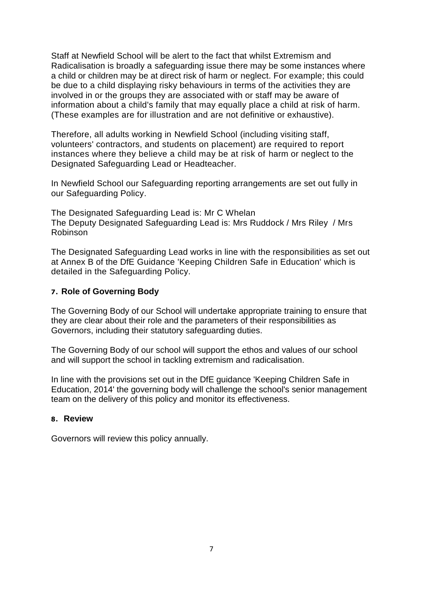Staff at Newfield School will be alert to the fact that whilst Extremism and Radicalisation is broadly a safeguarding issue there may be some instances where a child or children may be at direct risk of harm or neglect. For example; this could be due to a child displaying risky behaviours in terms of the activities they are involved in or the groups they are associated with or staff may be aware of information about a child's family that may equally place a child at risk of harm. (These examples are for illustration and are not definitive or exhaustive).

Therefore, all adults working in Newfield School (including visiting staff, volunteers' contractors, and students on placement) are required to report instances where they believe a child may be at risk of harm or neglect to the Designated Safeguarding Lead or Headteacher.

In Newfield School our Safeguarding reporting arrangements are set out fully in our Safeguarding Policy.

The Designated Safeguarding Lead is: Mr C Whelan The Deputy Designated Safeguarding Lead is: Mrs Ruddock / Mrs Riley / Mrs Robinson

The Designated Safeguarding Lead works in line with the responsibilities as set out at Annex B of the DfE Guidance 'Keeping Children Safe in Education' which is detailed in the Safeguarding Policy.

#### **7 . Role of Governing Body**

The Governing Body of our School will undertake appropriate training to ensure that they are clear about their role and the parameters of their responsibilities as Governors, including their statutory safeguarding duties.

The Governing Body of our school will support the ethos and values of our school and will support the school in tackling extremism and radicalisation.

In line with the provisions set out in the DfE guidance 'Keeping Children Safe in Education, 2014' the governing body will challenge the school's senior management team on the delivery of this policy and monitor its effectiveness.

#### **8 . Review**

Governors will review this policy annually.